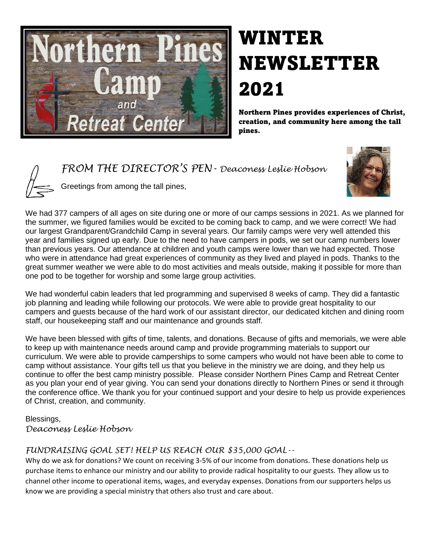

## WINTER NEWSLETTER 2021

Northern Pines provides experiences of Christ, creation, and community here among the tall pines.

*FROM THE DIRECTOR'S PEN- Deaconess Leslie Hobson* 



Greetings from among the tall pines,

We had 377 campers of all ages on site during one or more of our camps sessions in 2021. As we planned for the summer, we figured families would be excited to be coming back to camp, and we were correct! We had our largest Grandparent/Grandchild Camp in several years. Our family camps were very well attended this year and families signed up early. Due to the need to have campers in pods, we set our camp numbers lower than previous years. Our attendance at children and youth camps were lower than we had expected. Those who were in attendance had great experiences of community as they lived and played in pods. Thanks to the great summer weather we were able to do most activities and meals outside, making it possible for more than one pod to be together for worship and some large group activities.

We had wonderful cabin leaders that led programming and supervised 8 weeks of camp. They did a fantastic job planning and leading while following our protocols. We were able to provide great hospitality to our campers and guests because of the hard work of our assistant director, our dedicated kitchen and dining room staff, our housekeeping staff and our maintenance and grounds staff.

We have been blessed with gifts of time, talents, and donations. Because of gifts and memorials, we were able to keep up with maintenance needs around camp and provide programming materials to support our curriculum. We were able to provide camperships to some campers who would not have been able to come to camp without assistance. Your gifts tell us that you believe in the ministry we are doing, and they help us continue to offer the best camp ministry possible. Please consider Northern Pines Camp and Retreat Center as you plan your end of year giving. You can send your donations directly to Northern Pines or send it through the conference office. We thank you for your continued support and your desire to help us provide experiences of Christ, creation, and community.

#### Blessings, *Deaconess Leslie Hobson*

### *FUNDRAISING GOAL SET! HELP US REACH OUR \$35,000 GOAL--*

Why do we ask for donations? We count on receiving 3-5% of our income from donations. These donations help us purchase items to enhance our ministry and our ability to provide radical hospitality to our guests. They allow us to channel other income to operational items, wages, and everyday expenses. Donations from our supporters helps us know we are providing a special ministry that others also trust and care about.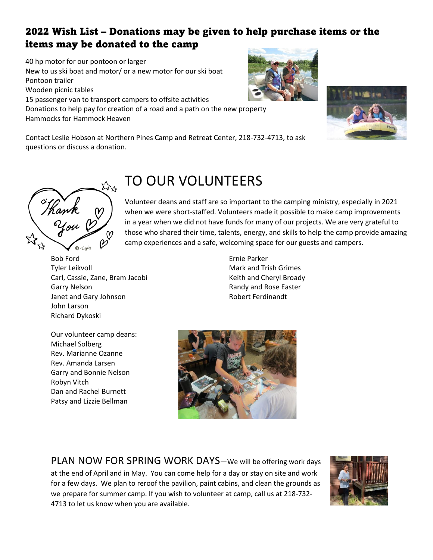## 2022 Wish List – Donations may be given to help purchase items or the items may be donated to the camp

40 hp motor for our pontoon or larger New to us ski boat and motor/ or a new motor for our ski boat Pontoon trailer Wooden picnic tables 15 passenger van to transport campers to offsite activities Donations to help pay for creation of a road and a path on the new property Hammocks for Hammock Heaven

Contact Leslie Hobson at Northern Pines Camp and Retreat Center, 218-732-4713, to ask questions or discuss a donation.

# TO OUR VOLUNTEERS

Volunteer deans and staff are so important to the camping ministry, especially in 2021 when we were short-staffed. Volunteers made it possible to make camp improvements in a year when we did not have funds for many of our projects. We are very grateful to those who shared their time, talents, energy, and skills to help the camp provide amazing camp experiences and a safe, welcoming space for our guests and campers.

Bob Ford Tyler Leikvoll Carl, Cassie, Zane, Bram Jacobi Garry Nelson Janet and Gary Johnson John Larson Richard Dykoski

Thank<br>You

 $\sum_{i=1}^{n}$ 

Our volunteer camp deans: Michael Solberg Rev. Marianne Ozanne Rev. Amanda Larsen Garry and Bonnie Nelson Robyn Vitch Dan and Rachel Burnett Patsy and Lizzie Bellman

Ernie Parker Mark and Trish Grimes Keith and Cheryl Broady Randy and Rose Easter Robert Ferdinandt

PLAN NOW FOR SPRING WORK DAYS—We will be offering work days at the end of April and in May. You can come help for a day or stay on site and work for a few days. We plan to reroof the pavilion, paint cabins, and clean the grounds as we prepare for summer camp. If you wish to volunteer at camp, call us at 218-732- 4713 to let us know when you are available.







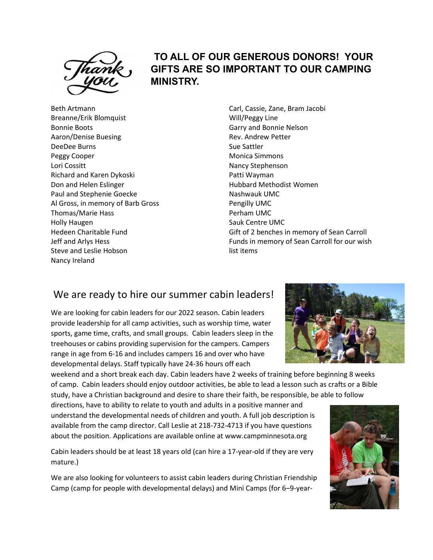

### **TO ALL OF OUR GENEROUS DONORS! YOUR GIFTS ARE SO IMPORTANT TO OUR CAMPING MINISTRY.**

Beth Artmann Breanne/Erik Blomquist Bonnie Boots Aaron/Denise Buesing DeeDee Burns Peggy Cooper Lori Cossitt Richard and Karen Dykoski Don and Helen Eslinger Paul and Stephenie Goecke Al Gross, in memory of Barb Gross Thomas/Marie Hass Holly Haugen Hedeen Charitable Fund Jeff and Arlys Hess Steve and Leslie Hobson Nancy Ireland

Carl, Cassie, Zane, Bram Jacobi Will/Peggy Line Garry and Bonnie Nelson Rev. Andrew Petter Sue Sattler Monica Simmons Nancy Stephenson Patti Wayman Hubbard Methodist Women Nashwauk UMC Pengilly UMC Perham UMC Sauk Centre UMC Gift of 2 benches in memory of Sean Carroll Funds in memory of Sean Carroll for our wish list items

### We are ready to hire our summer cabin leaders!

We are looking for cabin leaders for our 2022 season. Cabin leaders provide leadership for all camp activities, such as worship time, water sports, game time, crafts, and small groups. Cabin leaders sleep in the treehouses or cabins providing supervision for the campers. Campers range in age from 6-16 and includes campers 16 and over who have developmental delays. Staff typically have 24-36 hours off each

weekend and a short break each day. Cabin leaders have 2 weeks of training before beginning 8 weeks of camp. Cabin leaders should enjoy outdoor activities, be able to lead a lesson such as crafts or a Bible study, have a Christian background and desire to share their faith, be responsible, be able to follow

directions, have to ability to relate to youth and adults in a positive manner and understand the developmental needs of children and youth. A full job description is available from the camp director. Call Leslie at 218-732-4713 if you have questions about the position. Applications are available online at www.campminnesota.org

Cabin leaders should be at least 18 years old (can hire a 17-year-old if they are very mature.)

We are also looking for volunteers to assist cabin leaders during Christian Friendship Camp (camp for people with developmental delays) and Mini Camps (for 6–9-year-